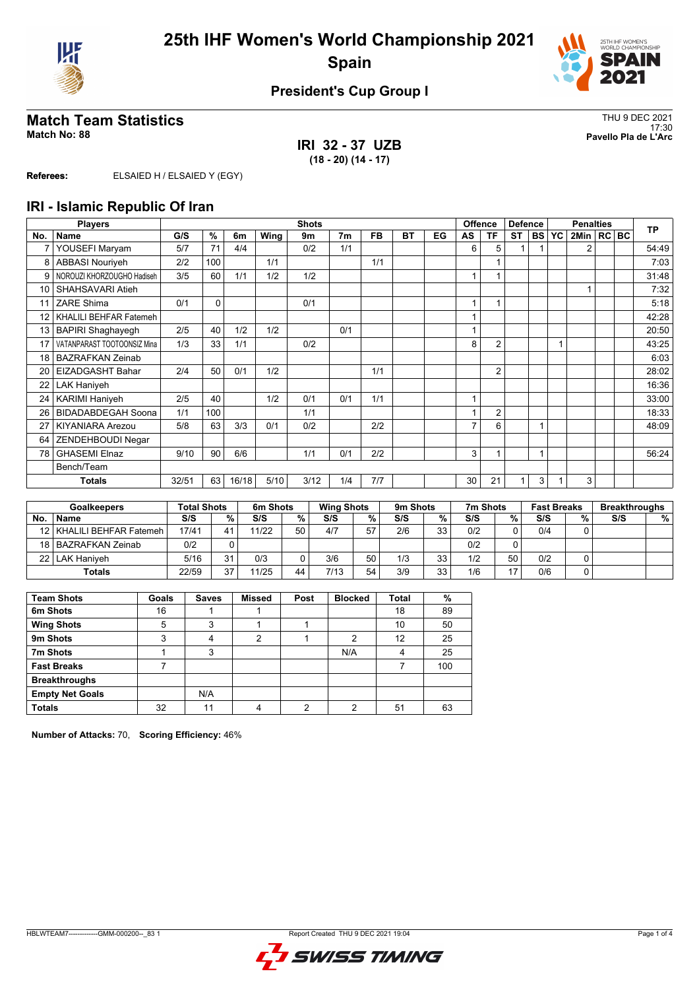



## **Match Team Statistics** Thus and the set of the set of the set of the set of the set of the set of the set of the set of the set of the set of the set of the set of the set of the set of the set of the set of the set of th

**IRI 32 - 37 UZB (18 - 20) (14 - 17)**

17:30 **Match No: 88 Pavello Pla de L'Arc**

**Referees:** ELSAIED H / ELSAIED Y (EGY)

#### **IRI - Islamic Republic Of Iran**

|                 | <b>Players</b>              | <b>Shots</b> |          |       |      |      |                |           |           |    | <b>Offence</b> | <b>Defence</b> |           | <b>Penalties</b> |           |                |  | <b>TP</b> |       |
|-----------------|-----------------------------|--------------|----------|-------|------|------|----------------|-----------|-----------|----|----------------|----------------|-----------|------------------|-----------|----------------|--|-----------|-------|
| No.             | Name                        | G/S          | %        | 6m    | Wing | 9m   | 7 <sub>m</sub> | <b>FB</b> | <b>BT</b> | EG | AS             | TF             | <b>ST</b> | <b>BS</b>        | <b>YC</b> | 2Min   RC   BC |  |           |       |
| 7               | YOUSEFI Maryam              | 5/7          | 71       | 4/4   |      | 0/2  | 1/1            |           |           |    | 6              | 5              |           |                  |           | $\overline{2}$ |  |           | 54:49 |
| 8               | <b>ABBASI Nouriveh</b>      | 2/2          | 100      |       | 1/1  |      |                | 1/1       |           |    |                |                |           |                  |           |                |  |           | 7:03  |
| 9               | NOROUZI KHORZOUGHO Hadiseh  | 3/5          | 60       | 1/1   | 1/2  | 1/2  |                |           |           |    |                |                |           |                  |           |                |  |           | 31:48 |
| 10              | SHAHSAVARI Atieh            |              |          |       |      |      |                |           |           |    |                |                |           |                  |           |                |  |           | 7:32  |
| 11              | ZARE Shima                  | 0/1          | $\Omega$ |       |      | 0/1  |                |           |           |    |                | 1              |           |                  |           |                |  |           | 5:18  |
| 12 <sup>°</sup> | KHALILI BEHFAR Fatemeh      |              |          |       |      |      |                |           |           |    |                |                |           |                  |           |                |  |           | 42:28 |
| 13              | <b>BAPIRI Shaghayegh</b>    | 2/5          | 40       | 1/2   | 1/2  |      | 0/1            |           |           |    |                |                |           |                  |           |                |  |           | 20:50 |
| 17              | VATANPARAST TOOTOONSIZ Mina | 1/3          | 33       | 1/1   |      | 0/2  |                |           |           |    | 8              | $\overline{2}$ |           |                  |           |                |  |           | 43:25 |
| 18              | <b>BAZRAFKAN Zeinab</b>     |              |          |       |      |      |                |           |           |    |                |                |           |                  |           |                |  |           | 6:03  |
| 20              | <b>EIZADGASHT Bahar</b>     | 2/4          | 50       | 0/1   | 1/2  |      |                | 1/1       |           |    |                | $\overline{2}$ |           |                  |           |                |  |           | 28:02 |
| 22              | <b>LAK Haniyeh</b>          |              |          |       |      |      |                |           |           |    |                |                |           |                  |           |                |  |           | 16:36 |
| 24              | <b>KARIMI Haniyeh</b>       | 2/5          | 40       |       | 1/2  | 0/1  | 0/1            | 1/1       |           |    | 1              |                |           |                  |           |                |  |           | 33:00 |
| 26              | <b>BIDADABDEGAH Soona</b>   | 1/1          | 100      |       |      | 1/1  |                |           |           |    |                | $\overline{2}$ |           |                  |           |                |  |           | 18:33 |
| 27              | <b>KIYANIARA Arezou</b>     | 5/8          | 63       | 3/3   | 0/1  | 0/2  |                | 2/2       |           |    | 7              | 6              |           |                  |           |                |  |           | 48:09 |
| 64              | ZENDEHBOUDI Negar           |              |          |       |      |      |                |           |           |    |                |                |           |                  |           |                |  |           |       |
| 78              | <b>GHASEMI Elnaz</b>        | 9/10         | 90       | 6/6   |      | 1/1  | 0/1            | 2/2       |           |    | 3              |                |           |                  |           |                |  |           | 56:24 |
|                 | Bench/Team                  |              |          |       |      |      |                |           |           |    |                |                |           |                  |           |                |  |           |       |
|                 | <b>Totals</b>               | 32/51        | 63       | 16/18 | 5/10 | 3/12 | 1/4            | 7/7       |           |    | 30             | 21             |           | 3                |           | 3              |  |           |       |

| <b>Goalkeepers</b> |                             | Total Shots |    | 6 <sub>m</sub> Shots |    | <b>Wing Shots</b> |    | 9 <sub>m</sub> Shots |    | 7m Shots | <b>Fast Breaks</b> |     | <b>Breakthroughs</b> |     |   |
|--------------------|-----------------------------|-------------|----|----------------------|----|-------------------|----|----------------------|----|----------|--------------------|-----|----------------------|-----|---|
| No.                | <b>Name</b>                 | S/S         | %  | S/S                  | %  | S/S               | %  | S/S                  | %  | S/S      | %                  | S/S | %.                   | S/S | % |
|                    | 12   KHALILI BEHFAR Fatemeh | 17/41       | 41 | 11/22                | 50 | 4/7               | 57 | 2/6                  | 33 | 0/2      |                    | 0/4 | U.                   |     |   |
|                    | 18   BAZRAFKAN Zeinab       | 0/2         |    |                      |    |                   |    |                      |    | 0/2      |                    |     |                      |     |   |
| 22 I               | l LAK Haniveh               | 5/16        | 31 | 0/3                  |    | 3/6               | 50 | 1/3                  | 33 | 1/2      | 50                 | 0/2 |                      |     |   |
| Totals             |                             | 22/59       | 37 | 11/25                | 44 | 7/13              | 54 | 3/9                  | 33 | 1/6      | 17                 | 0/6 |                      |     |   |

| <b>Team Shots</b>      | Goals | <b>Saves</b> | <b>Missed</b> | Post | <b>Blocked</b> | <b>Total</b> | %   |
|------------------------|-------|--------------|---------------|------|----------------|--------------|-----|
| 6m Shots               | 16    |              |               |      |                | 18           | 89  |
| <b>Wing Shots</b>      | 5     | 3            |               |      |                | 10           | 50  |
| 9m Shots               | 3     | 4            | 2             |      | $\overline{2}$ | 12           | 25  |
| 7m Shots               |       | 3            |               |      | N/A            | 4            | 25  |
| <b>Fast Breaks</b>     |       |              |               |      |                |              | 100 |
| <b>Breakthroughs</b>   |       |              |               |      |                |              |     |
| <b>Empty Net Goals</b> |       | N/A          |               |      |                |              |     |
| <b>Totals</b>          | 32    | 11           | 4             | ◠    | ◠              | 51           | 63  |

**Number of Attacks:** 70, **Scoring Efficiency:** 46%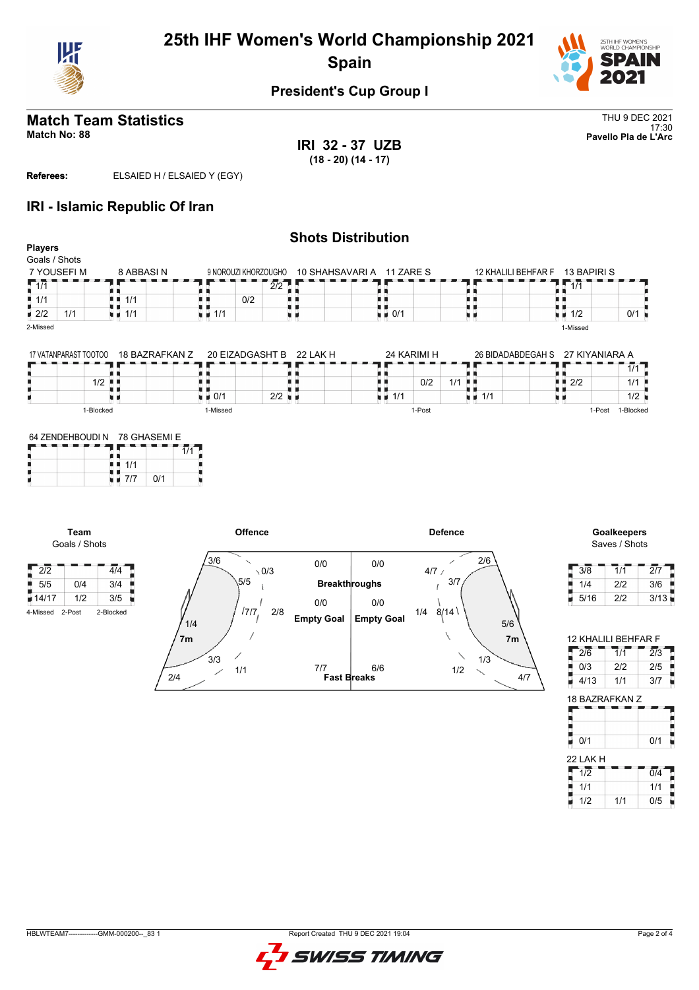



# **Match Team Statistics** Thus and the set of the set of the set of the set of the set of the set of the set of the set of the set of the set of the set of the set of the set of the set of the set of the set of the set of th

**IRI 32 - 37 UZB (18 - 20) (14 - 17)**

17:30 **Match No: 88 Pavello Pla de L'Arc**

**Referees:** ELSAIED H / ELSAIED Y (EGY)

#### **IRI - Islamic Republic Of Iran**

|                           |                |                                   | <b>Shots Distribution</b> |                          |                                  |                                   |     |
|---------------------------|----------------|-----------------------------------|---------------------------|--------------------------|----------------------------------|-----------------------------------|-----|
| <b>Players</b>            |                |                                   |                           |                          |                                  |                                   |     |
| Goals / Shots             |                |                                   |                           |                          |                                  |                                   |     |
| 7 YOUSEFI M               | 8 ABBASI N     | 9 NOROUZI KHORZOUGHO              |                           | 10 SHAHSAVARIA 11 ZARE S | 12 KHALILI BEHFAR F              | 13 BAPIRI S                       |     |
| $\sqrt{1/1}$              |                |                                   | 2/2                       |                          |                                  | 1/1                               |     |
| $\blacksquare$ 1/1        | 1/1            |                                   | 0/2                       |                          |                                  |                                   |     |
| $\blacksquare$ 2/2<br>1/1 | 1/1<br>u a     | $\blacksquare$ 1/1                |                           | 0/1<br>ti al             |                                  | $\blacksquare$ 1/2                | 0/1 |
| 2-Missed                  |                |                                   |                           |                          |                                  | 1-Missed                          |     |
|                           |                |                                   |                           |                          |                                  |                                   |     |
| 17 VATANPARAST TOOTOO     | 18 BAZRAFKAN Z |                                   | 20 EIZADGASHT B 22 LAK H  | 24 KARIMI H              | 26 BIDADABDEGAH S 27 KIYANIARA A |                                   |     |
|                           |                |                                   |                           |                          |                                  |                                   | 1/1 |
| 1/2                       |                |                                   |                           | 0/2                      | $1/1$                            | $\blacksquare$ $\blacksquare$ 2/2 | 1/1 |
|                           |                | $\blacksquare$ $\blacksquare$ 0/1 | $2/2$ $\blacksquare$      | in al<br>1/1             | 1/1<br>uв                        |                                   | 1/2 |

1-Post

#### 64 ZENDEHBOUDI N 78 GHASEMI E  $1/1$ Ъ  $1/1$  $\blacksquare$  7/7  $\blacksquare$  0/1

1-Missed

1-Blocked

**Team** Goals / Shots

 $2/2$   $4/4$  $\frac{1}{5}$  5/5 0/4 3/4  $14/17$   $1/2$   $3/5$ 4-Missed 2-Post 2-Blocke

|   | Offence                |                           |                   | <b>Defence</b> |
|---|------------------------|---------------------------|-------------------|----------------|
|   | 3/6<br>$\setminus$ 0/3 | 0/0                       | 0/0               | 2/6<br>4/7/    |
|   | 5/5                    | <b>Breakthroughs</b>      |                   | 3/7            |
| d | 17/7<br>2/8            | 0/0                       | 0/0               | 8/14<br>1/4    |
|   | 1/4                    | <b>Empty Goal</b>         | <b>Empty Goal</b> | $5/6$          |
|   | 7m                     |                           |                   | 7 <sub>m</sub> |
|   | 3/3                    |                           |                   | 1/3            |
|   | 1/1<br>2/4             | 7/7<br><b>Fast Breaks</b> | 6/6               | 1/2<br>4/7     |

#### **Offence Defence Goalkeepers** Saves / Shots

1-Post 1-Blocked

| 3/8  | 1/1 | 2/7  |
|------|-----|------|
| 1/4  | 2/2 | 3/6  |
| 5/16 | 2/2 | 3/13 |

| <b>12 KHALILI BEHFAR F</b> |     |                  |  |  |  |  |  |  |  |  |  |  |
|----------------------------|-----|------------------|--|--|--|--|--|--|--|--|--|--|
| 2/6                        | 1/1 | $\overline{2/3}$ |  |  |  |  |  |  |  |  |  |  |
| 0/3                        | 212 | 2/5              |  |  |  |  |  |  |  |  |  |  |
| 4/13                       | 1/1 | 3/7              |  |  |  |  |  |  |  |  |  |  |
| 18 BAZRAFKAN Z             |     |                  |  |  |  |  |  |  |  |  |  |  |
|                            |     |                  |  |  |  |  |  |  |  |  |  |  |

| 0/1      | 0/1 |
|----------|-----|
| 22 LAK H |     |
|          |     |

| ZZ LAN H |     |     |
|----------|-----|-----|
| 1/2      |     | 0/4 |
| 1/1      |     | 1/1 |
| 1/2      | 1/1 | 0/5 |

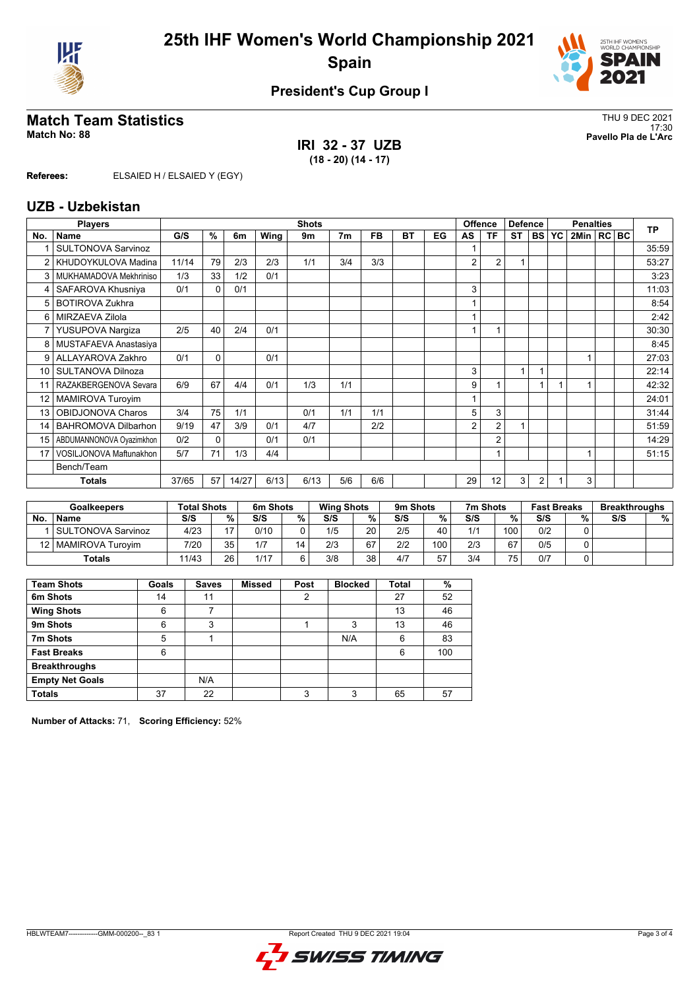



# THU 9 DEC 2021<br>Match No: 88<br>Pavello Pla de L'Arc

**IRI 32 - 37 UZB (18 - 20) (14 - 17)**

17:30 **Match No: 88 Pavello Pla de L'Arc**

**Referees:** ELSAIED H / ELSAIED Y (EGY)

#### **UZB - Uzbekistan**

|                 | <b>Players</b>             |       |          |       |      | <b>Shots</b> |                |           |           |    |                | <b>Offence</b> | <b>Defence</b> |                | <b>Penalties</b> |              |  |  | <b>TP</b> |
|-----------------|----------------------------|-------|----------|-------|------|--------------|----------------|-----------|-----------|----|----------------|----------------|----------------|----------------|------------------|--------------|--|--|-----------|
| No.             | Name                       | G/S   | %        | 6m    | Wing | 9m           | 7 <sub>m</sub> | <b>FB</b> | <b>BT</b> | EG | AS             | <b>TF</b>      | <b>ST</b>      | I BS I         | <b>YC</b>        | 2Min   RC BC |  |  |           |
|                 | <b>SULTONOVA Sarvinoz</b>  |       |          |       |      |              |                |           |           |    |                |                |                |                |                  |              |  |  | 35:59     |
| 2               | KHUDOYKULOVA Madina        | 11/14 | 79       | 2/3   | 2/3  | 1/1          | 3/4            | 3/3       |           |    | $\overline{2}$ | $\overline{2}$ |                |                |                  |              |  |  | 53:27     |
| 3               | MUKHAMADOVA Mekhriniso     | 1/3   | 33       | 1/2   | 0/1  |              |                |           |           |    |                |                |                |                |                  |              |  |  | 3:23      |
| 4               | SAFAROVA Khusniya          | 0/1   | $\Omega$ | 0/1   |      |              |                |           |           |    | 3              |                |                |                |                  |              |  |  | 11:03     |
| 5               | <b>BOTIROVA Zukhra</b>     |       |          |       |      |              |                |           |           |    |                |                |                |                |                  |              |  |  | 8:54      |
| 6               | MIRZAEVA Zilola            |       |          |       |      |              |                |           |           |    |                |                |                |                |                  |              |  |  | 2:42      |
|                 | YUSUPOVA Nargiza           | 2/5   | 40       | 2/4   | 0/1  |              |                |           |           |    |                |                |                |                |                  |              |  |  | 30:30     |
| 8               | MUSTAFAEVA Anastasiya      |       |          |       |      |              |                |           |           |    |                |                |                |                |                  |              |  |  | 8:45      |
| 9               | ALLAYAROVA Zakhro          | 0/1   | $\Omega$ |       | 0/1  |              |                |           |           |    |                |                |                |                |                  |              |  |  | 27:03     |
| 10              | SULTANOVA Dilnoza          |       |          |       |      |              |                |           |           |    | 3              |                | 1              |                |                  |              |  |  | 22:14     |
|                 | RAZAKBERGENOVA Sevara      | 6/9   | 67       | 4/4   | 0/1  | 1/3          | 1/1            |           |           |    | 9              |                |                |                |                  |              |  |  | 42:32     |
| 12 <sup>°</sup> | <b>MAMIROVA Turoyim</b>    |       |          |       |      |              |                |           |           |    |                |                |                |                |                  |              |  |  | 24:01     |
| 13              | OBIDJONOVA Charos          | 3/4   | 75       | 1/1   |      | 0/1          | 1/1            | 1/1       |           |    | 5              | 3              |                |                |                  |              |  |  | 31:44     |
| 14              | <b>BAHROMOVA Dilbarhon</b> | 9/19  | 47       | 3/9   | 0/1  | 4/7          |                | 2/2       |           |    | 2              | $\overline{2}$ |                |                |                  |              |  |  | 51:59     |
| 15              | ABDUMANNONOVA Oyazimkhon   | 0/2   | $\Omega$ |       | 0/1  | 0/1          |                |           |           |    |                | $\overline{2}$ |                |                |                  |              |  |  | 14:29     |
| 17              | VOSILJONOVA Maftunakhon    | 5/7   | 71       | 1/3   | 4/4  |              |                |           |           |    |                | 1              |                |                |                  |              |  |  | 51:15     |
|                 | Bench/Team                 |       |          |       |      |              |                |           |           |    |                |                |                |                |                  |              |  |  |           |
|                 | <b>Totals</b>              | 37/65 | 57       | 14/27 | 6/13 | 6/13         | 5/6            | 6/6       |           |    | 29             | 12             | 3              | $\overline{2}$ |                  | 3            |  |  |           |

| <b>Goalkeepers</b> |                       | <b>Total Shots</b> |        | 6m Shots |    | <b>Wing Shots</b> |    | 9m Shots |     | 7m Shots |     |     | <b>Fast Breaks</b> |     | <b>Breakthroughs</b> |
|--------------------|-----------------------|--------------------|--------|----------|----|-------------------|----|----------|-----|----------|-----|-----|--------------------|-----|----------------------|
| <b>No</b>          | <b>Name</b>           | S/S                | $\%$ . | S/S      | %  | S/S               | %  | S/S      | %   | S/S      | %   | S/S | %                  | S/S | %                    |
|                    | SULTONOVA Sarvinoz    | 4/23               |        | 0/10     |    | 1/5               | 20 | 2/5      | 40  | 1/1      | 100 | 0/2 |                    |     |                      |
|                    | 12   MAMIROVA Turovim | 7/20               | 35     | 1/7      | 14 | 2/3               | 67 | 2/2      | 100 | 2/3      | 67  | 0/5 |                    |     |                      |
|                    | <b>Totals</b>         | 11/43              | 26     | 1/17     |    | 3/8               | 38 | 4/7      | 57  | 3/4      | 75  | 0/7 |                    |     |                      |

| <b>Team Shots</b>      | Goals | <b>Saves</b> | <b>Missed</b> | Post | <b>Blocked</b> | Total | %   |
|------------------------|-------|--------------|---------------|------|----------------|-------|-----|
| 6m Shots               | 14    | 11           |               | 2    |                | 27    | 52  |
| <b>Wing Shots</b>      | 6     |              |               |      |                | 13    | 46  |
| 9m Shots               | 6     | 3            |               |      | 3              | 13    | 46  |
| 7m Shots               | 5     |              |               |      | N/A            | 6     | 83  |
| <b>Fast Breaks</b>     | 6     |              |               |      |                | 6     | 100 |
| <b>Breakthroughs</b>   |       |              |               |      |                |       |     |
| <b>Empty Net Goals</b> |       | N/A          |               |      |                |       |     |
| <b>Totals</b>          | 37    | 22           |               | 3    | 3              | 65    | 57  |

**Number of Attacks:** 71, **Scoring Efficiency:** 52%